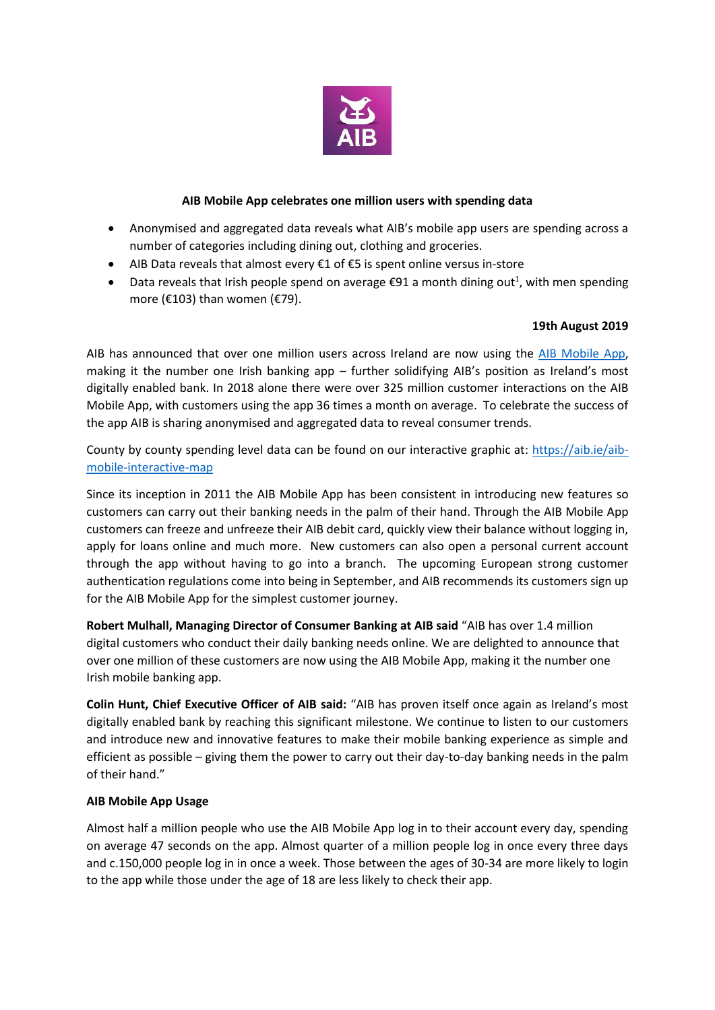

## **AIB Mobile App celebrates one million users with spending data**

- Anonymised and aggregated data reveals what AIB's mobile app users are spending across a number of categories including dining out, clothing and groceries.
- AIB Data reveals that almost every €1 of €5 is spent online versus in-store
- Data reveals that Irish people spend on average  $\epsilon$ 91 a month dining out<sup>1</sup>, with men spending more (€103) than women (€79).

## **19th August 2019**

AIB has announced that over one million users across Ireland are now using the [AIB Mobile App,](https://aib.ie/ways-to-bank/mobile-banking) making it the number one Irish banking app – further solidifying AIB's position as Ireland's most digitally enabled bank. In 2018 alone there were over 325 million customer interactions on the AIB Mobile App, with customers using the app 36 times a month on average. To celebrate the success of the app AIB is sharing anonymised and aggregated data to reveal consumer trends.

County by county spending level data can be found on our interactive graphic at: [https://aib.ie/aib](https://aib.ie/aib-mobile-interactive-map)[mobile-interactive-map](https://aib.ie/aib-mobile-interactive-map)

Since its inception in 2011 the AIB Mobile App has been consistent in introducing new features so customers can carry out their banking needs in the palm of their hand. Through the AIB Mobile App customers can freeze and unfreeze their AIB debit card, quickly view their balance without logging in, apply for loans online and much more. New customers can also open a personal current account through the app without having to go into a branch. The upcoming European strong customer authentication regulations come into being in September, and AIB recommends its customers sign up for the AIB Mobile App for the simplest customer journey.

**Robert Mulhall, Managing Director of Consumer Banking at AIB said** "AIB has over 1.4 million digital customers who conduct their daily banking needs online. We are delighted to announce that over one million of these customers are now using the AIB Mobile App, making it the number one Irish mobile banking app.

**Colin Hunt, Chief Executive Officer of AIB said:** "AIB has proven itself once again as Ireland's most digitally enabled bank by reaching this significant milestone. We continue to listen to our customers and introduce new and innovative features to make their mobile banking experience as simple and efficient as possible – giving them the power to carry out their day-to-day banking needs in the palm of their hand."

#### **AIB Mobile App Usage**

Almost half a million people who use the AIB Mobile App log in to their account every day, spending on average 47 seconds on the app. Almost quarter of a million people log in once every three days and c.150,000 people log in in once a week. Those between the ages of 30-34 are more likely to login to the app while those under the age of 18 are less likely to check their app.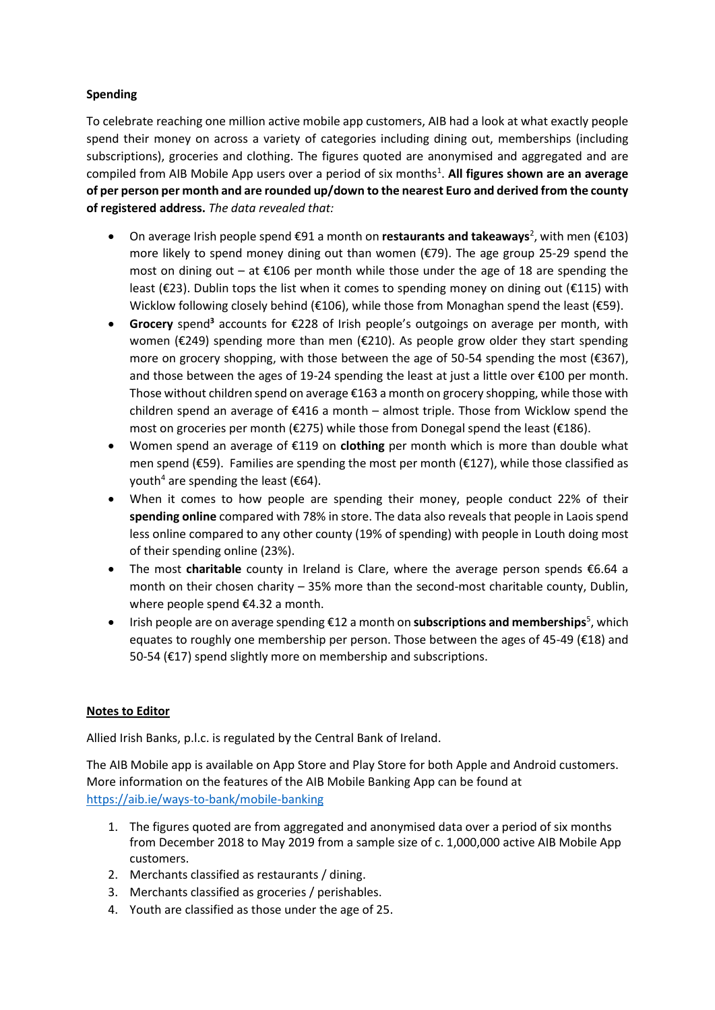# **Spending**

To celebrate reaching one million active mobile app customers, AIB had a look at what exactly people spend their money on across a variety of categories including dining out, memberships (including subscriptions), groceries and clothing. The figures quoted are anonymised and aggregated and are compiled from AIB Mobile App users over a period of six months<sup>1</sup>. All figures shown are an average **of per person per month and are rounded up/down to the nearest Euro and derived from the county of registered address.** *The data revealed that:*

- On average Irish people spend €91 a month on **restaurants and takeaways**<sup>2</sup>, with men (€103) more likely to spend money dining out than women (€79). The age group 25-29 spend the most on dining out – at  $\epsilon$ 106 per month while those under the age of 18 are spending the least (€23). Dublin tops the list when it comes to spending money on dining out (€115) with Wicklow following closely behind (€106), while those from Monaghan spend the least (€59).
- **Grocery** spend**<sup>3</sup>** accounts for €228 of Irish people's outgoings on average per month, with women (€249) spending more than men (€210). As people grow older they start spending more on grocery shopping, with those between the age of 50-54 spending the most  $(\epsilon$ 367), and those between the ages of 19-24 spending the least at just a little over  $\epsilon$ 100 per month. Those without children spend on average €163 a month on grocery shopping, while those with children spend an average of €416 a month – almost triple. Those from Wicklow spend the most on groceries per month (€275) while those from Donegal spend the least (€186).
- Women spend an average of €119 on **clothing** per month which is more than double what men spend (€59). Families are spending the most per month (€127), while those classified as vouth<sup>4</sup> are spending the least ( $\epsilon$ 64).
- When it comes to how people are spending their money, people conduct 22% of their **spending online** compared with 78% in store. The data also reveals that people in Laois spend less online compared to any other county (19% of spending) with people in Louth doing most of their spending online (23%).
- The most **charitable** county in Ireland is Clare, where the average person spends €6.64 a month on their chosen charity – 35% more than the second-most charitable county, Dublin, where people spend €4.32 a month.
- Irish people are on average spending €12 a month on **subscriptions and memberships**<sup>5</sup>, which equates to roughly one membership per person. Those between the ages of 45-49 (€18) and 50-54 (€17) spend slightly more on membership and subscriptions.

# **Notes to Editor**

Allied Irish Banks, p.l.c. is regulated by the Central Bank of Ireland.

The AIB Mobile app is available on App Store and Play Store for both Apple and Android customers. More information on the features of the AIB Mobile Banking App can be found at <https://aib.ie/ways-to-bank/mobile-banking>

- 1. The figures quoted are from aggregated and anonymised data over a period of six months from December 2018 to May 2019 from a sample size of c. 1,000,000 active AIB Mobile App customers.
- 2. Merchants classified as restaurants / dining.
- 3. Merchants classified as groceries / perishables.
- 4. Youth are classified as those under the age of 25.